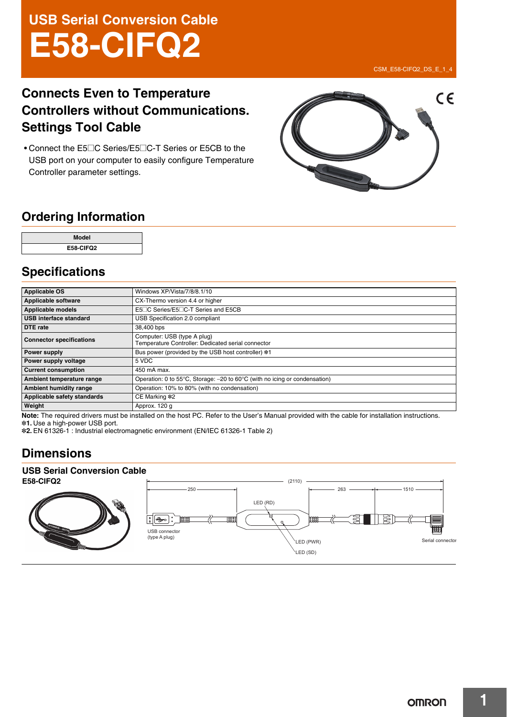# **USB Serial Conversion Cable E58-CIFQ2**

### CSM\_E58-CIFQ2\_DS\_E\_1\_4

# **Connects Even to Temperature Controllers without Communications. Settings Tool Cable**

• Connect the E5@C Series/E5@C-T Series or E5CB to the USB port on your computer to easily configure Temperature Controller parameter settings.



# **Ordering Information**

| Model     |  |
|-----------|--|
| E58-CIFQ2 |  |

# **Specifications**

| <b>Applicable OS</b>            | Windows XP/Vista/7/8/8.1/10                                                                    |
|---------------------------------|------------------------------------------------------------------------------------------------|
| Applicable software             | CX-Thermo version 4.4 or higher                                                                |
| Applicable models               | E5□C Series/E5□C-T Series and E5CB                                                             |
| l USB interface standard        | USB Specification 2.0 compliant                                                                |
| <b>DTE</b> rate                 | 38,400 bps                                                                                     |
| <b>Connector specifications</b> | Computer: USB (type A plug)<br>Temperature Controller: Dedicated serial connector              |
| Power supply                    | Bus power (provided by the USB host controller) *1                                             |
| Power supply voltage            | 5 VDC                                                                                          |
| <b>Current consumption</b>      | 450 mA max.                                                                                    |
| Ambient temperature range       | Operation: 0 to 55 $\degree$ C, Storage: -20 to 60 $\degree$ C (with no icing or condensation) |
| <b>Ambient humidity range</b>   | Operation: 10% to 80% (with no condensation)                                                   |
| Applicable safety standards     | CE Marking *2                                                                                  |
| Weight                          | Approx. 120 g                                                                                  |

**Note:** The required drivers must be installed on the host PC. Refer to the User's Manual provided with the cable for installation instructions. \*1. Use a high-power USB port.

\*2. EN 61326-1 : Industrial electromagnetic environment (EN/IEC 61326-1 Table 2)

# **Dimensions**

# **USB Serial Conversion Cable**